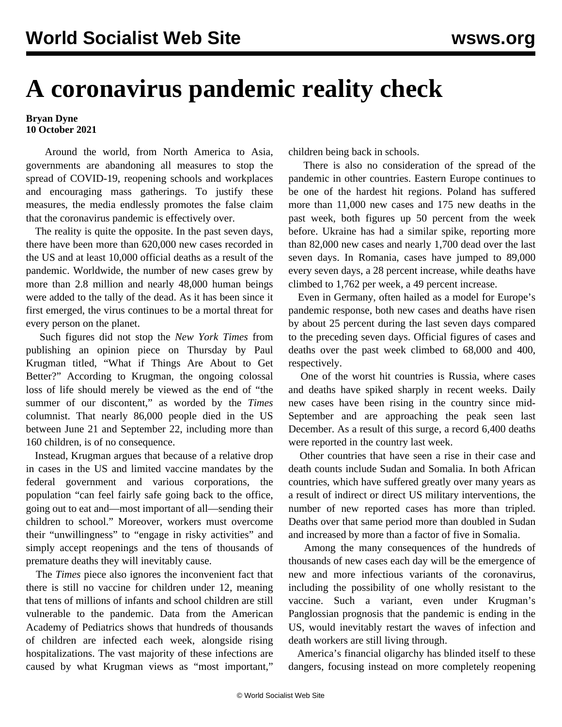## **A coronavirus pandemic reality check**

## **Bryan Dyne 10 October 2021**

 Around the world, from North America to Asia, governments are abandoning all measures to stop the spread of COVID-19, reopening schools and workplaces and encouraging mass gatherings. To justify these measures, the media endlessly promotes the false claim that the coronavirus pandemic is effectively over.

 The reality is quite the opposite. In the past seven days, there have been more than 620,000 new cases recorded in the US and at least 10,000 official deaths as a result of the pandemic. Worldwide, the number of new cases grew by more than 2.8 million and nearly 48,000 human beings were added to the tally of the dead. As it has been since it first emerged, the virus continues to be a mortal threat for every person on the planet.

 Such figures did not stop the *New York Times* from publishing an opinion piece on Thursday by Paul Krugman titled, "What if Things Are About to Get Better?" According to Krugman, the ongoing colossal loss of life should merely be viewed as the end of "the summer of our discontent," as worded by the *Times* columnist. That nearly 86,000 people died in the US between June 21 and September 22, including more than 160 children, is of no consequence.

 Instead, Krugman argues that because of a relative drop in cases in the US and limited vaccine mandates by the federal government and various corporations, the population "can feel fairly safe going back to the office, going out to eat and—most important of all—sending their children to school." Moreover, workers must overcome their "unwillingness" to "engage in risky activities" and simply accept reopenings and the tens of thousands of premature deaths they will inevitably cause.

 The *Times* piece also ignores the inconvenient fact that there is still no vaccine for children under 12, meaning that tens of millions of infants and school children are still vulnerable to the pandemic. Data from the American Academy of Pediatrics shows that hundreds of thousands of children are infected each week, alongside rising hospitalizations. The vast majority of these infections are caused by what Krugman views as "most important,"

children being back in schools.

 There is also no consideration of the spread of the pandemic in other countries. Eastern Europe continues to be one of the hardest hit regions. Poland has suffered more than 11,000 new cases and 175 new deaths in the past week, both figures up 50 percent from the week before. Ukraine has had a similar spike, reporting more than 82,000 new cases and nearly 1,700 dead over the last seven days. In Romania, cases have jumped to 89,000 every seven days, a 28 percent increase, while deaths have climbed to 1,762 per week, a 49 percent increase.

 Even in Germany, often hailed as a model for Europe's pandemic response, both new cases and deaths have risen by about 25 percent during the last seven days compared to the preceding seven days. Official figures of cases and deaths over the past week climbed to 68,000 and 400, respectively.

 One of the worst hit countries is Russia, where cases and deaths have spiked sharply in recent weeks. Daily new cases have been rising in the country since mid-September and are approaching the peak seen last December. As a result of this surge, a record 6,400 deaths were reported in the country last week.

 Other countries that have seen a rise in their case and death counts include Sudan and Somalia. In both African countries, which have suffered greatly over many years as a result of indirect or direct US military interventions, the number of new reported cases has more than tripled. Deaths over that same period more than doubled in Sudan and increased by more than a factor of five in Somalia.

 Among the many consequences of the hundreds of thousands of new cases each day will be the emergence of new and more infectious variants of the coronavirus, including the possibility of one wholly resistant to the vaccine. Such a variant, even under Krugman's Panglossian prognosis that the pandemic is ending in the US, would inevitably restart the waves of infection and death workers are still living through.

 America's financial oligarchy has blinded itself to these dangers, focusing instead on more completely reopening